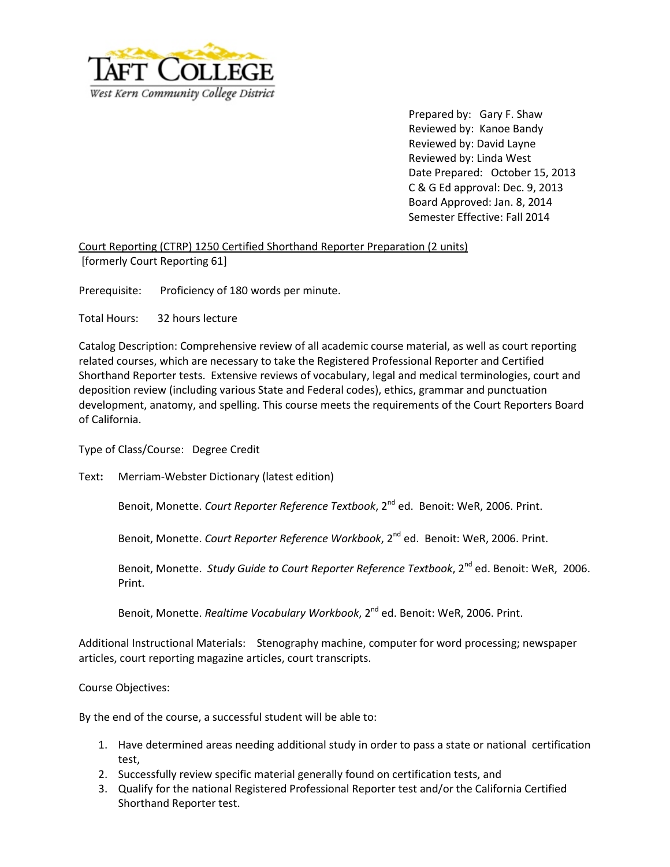

Prepared by: Gary F. Shaw Reviewed by: Kanoe Bandy Reviewed by: David Layne Reviewed by: Linda West Date Prepared: October 15, 2013 C & G Ed approval: Dec. 9, 2013 Board Approved: Jan. 8, 2014 Semester Effective: Fall 2014

Court Reporting (CTRP) 1250 Certified Shorthand Reporter Preparation (2 units) [formerly Court Reporting 61]

Prerequisite: Proficiency of 180 words per minute.

Total Hours: 32 hours lecture

Catalog Description: Comprehensive review of all academic course material, as well as court reporting related courses, which are necessary to take the Registered Professional Reporter and Certified Shorthand Reporter tests. Extensive reviews of vocabulary, legal and medical terminologies, court and deposition review (including various State and Federal codes), ethics, grammar and punctuation development, anatomy, and spelling. This course meets the requirements of the Court Reporters Board of California.

Type of Class/Course: Degree Credit

Text**:** Merriam-Webster Dictionary (latest edition)

Benoit, Monette. *Court Reporter Reference Textbook*, 2nd ed. Benoit: WeR, 2006. Print.

Benoit, Monette. *Court Reporter Reference Workbook*, 2nd ed. Benoit: WeR, 2006. Print.

Benoit, Monette. *Study Guide to Court Reporter Reference Textbook*, 2<sup>nd</sup> ed. Benoit: WeR, 2006. Print.

Benoit, Monette. *Realtime Vocabulary Workbook*, 2<sup>nd</sup> ed. Benoit: WeR, 2006. Print.

Additional Instructional Materials: Stenography machine, computer for word processing; newspaper articles, court reporting magazine articles, court transcripts.

Course Objectives:

By the end of the course, a successful student will be able to:

- 1. Have determined areas needing additional study in order to pass a state or national certification test,
- 2. Successfully review specific material generally found on certification tests, and
- 3. Qualify for the national Registered Professional Reporter test and/or the California Certified Shorthand Reporter test.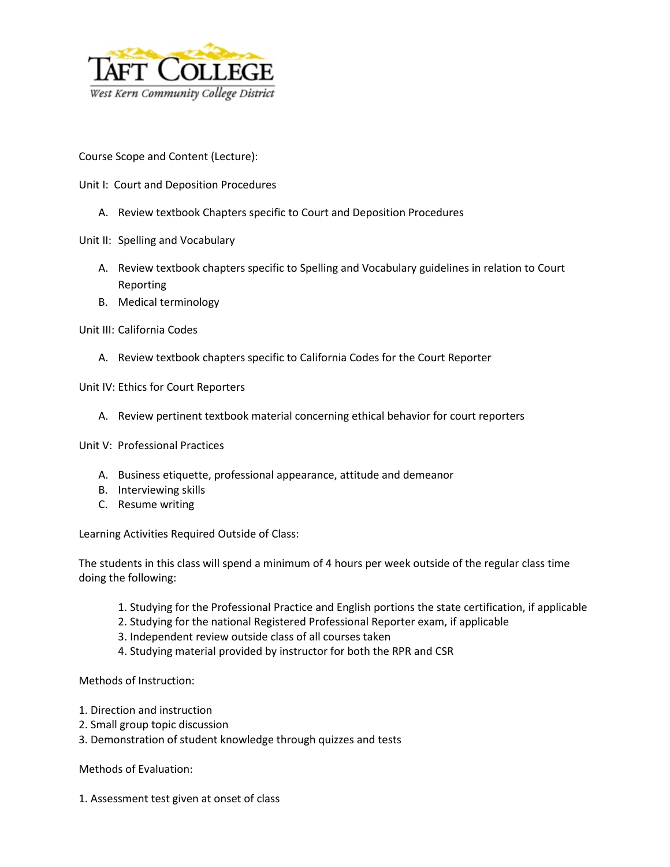

Course Scope and Content (Lecture):

- Unit I: Court and Deposition Procedures
	- A. Review textbook Chapters specific to Court and Deposition Procedures
- Unit II: Spelling and Vocabulary
	- A. Review textbook chapters specific to Spelling and Vocabulary guidelines in relation to Court Reporting
	- B. Medical terminology
- Unit III: California Codes
	- A. Review textbook chapters specific to California Codes for the Court Reporter

Unit IV: Ethics for Court Reporters

A. Review pertinent textbook material concerning ethical behavior for court reporters

Unit V: Professional Practices

- A. Business etiquette, professional appearance, attitude and demeanor
- B. Interviewing skills
- C. Resume writing

Learning Activities Required Outside of Class:

The students in this class will spend a minimum of 4 hours per week outside of the regular class time doing the following:

- 1. Studying for the Professional Practice and English portions the state certification, if applicable
- 2. Studying for the national Registered Professional Reporter exam, if applicable
- 3. Independent review outside class of all courses taken
- 4. Studying material provided by instructor for both the RPR and CSR

Methods of Instruction:

- 1. Direction and instruction
- 2. Small group topic discussion
- 3. Demonstration of student knowledge through quizzes and tests

Methods of Evaluation:

1. Assessment test given at onset of class